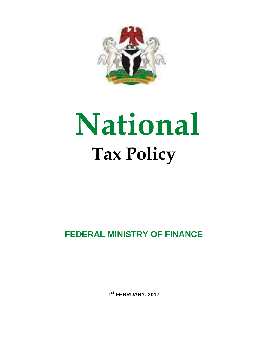

# **National Tax Policy**

# **FEDERAL MINISTRY OF FINANCE**

**1 st FEBRUARY, 2017**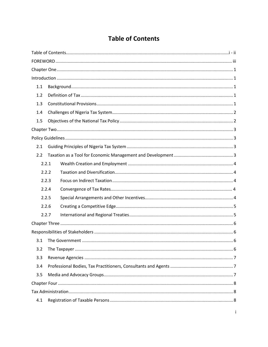# **Table of Contents**

<span id="page-1-0"></span>

| 1.1   |
|-------|
| 1.2   |
| 1.3   |
| 1.4   |
| 1.5   |
|       |
|       |
| 2.1   |
| 2.2   |
| 2.2.1 |
| 2.2.2 |
| 2.2.3 |
| 2.2.4 |
| 2.2.5 |
| 2.2.6 |
| 2.2.7 |
|       |
|       |
| 3.1   |
| 3.2   |
| 3.3   |
| 3.4   |
| 3.5   |
|       |
|       |
| 4.1   |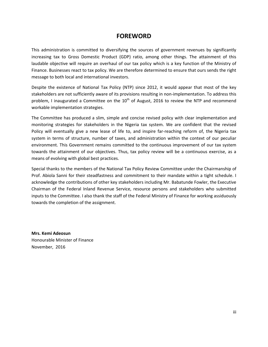# **FOREWORD**

<span id="page-3-0"></span>This administration is committed to diversifying the sources of government revenues by significantly increasing tax to Gross Domestic Product (GDP) ratio, among other things. The attainment of this laudable objective will require an overhaul of our tax policy which is a key function of the Ministry of Finance. Businesses react to tax policy. We are therefore determined to ensure that ours sends the right message to both local and international investors.

Despite the existence of National Tax Policy (NTP) since 2012, it would appear that most of the key stakeholders are not sufficiently aware of its provisions resulting in non-implementation. To address this problem, I inaugurated a Committee on the  $10<sup>th</sup>$  of August, 2016 to review the NTP and recommend workable implementation strategies.

The Committee has produced a slim, simple and concise revised policy with clear implementation and monitoring strategies for stakeholders in the Nigeria tax system. We are confident that the revised Policy will eventually give a new lease of life to, and inspire far-reaching reform of, the Nigeria tax system in terms of structure, number of taxes, and administration within the context of our peculiar environment. This Government remains committed to the continuous improvement of our tax system towards the attainment of our objectives. Thus, tax policy review will be a continuous exercise, as a means of evolving with global best practices.

Special thanks to the members of the National Tax Policy Review Committee under the Chairmanship of Prof. Abiola Sanni for their steadfastness and commitment to their mandate within a tight schedule. I acknowledge the contributions of other key stakeholders including Mr. Babatunde Fowler, the Executive Chairman of the Federal Inland Revenue Service, resource persons and stakeholders who submitted inputs to the Committee. I also thank the staff of the Federal Ministry of Finance for working assiduously towards the completion of the assignment.

**Mrs. Kemi Adeosun** Honourable Minister of Finance November, 2016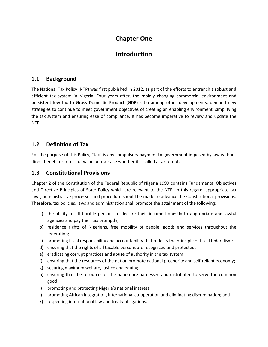# **Chapter One**

# **Introduction**

# <span id="page-4-2"></span><span id="page-4-1"></span><span id="page-4-0"></span>**1.1 Background**

The National Tax Policy (NTP) was first published in 2012, as part of the efforts to entrench a robust and efficient tax system in Nigeria. Four years after, the rapidly changing commercial environment and persistent low tax to Gross Domestic Product (GDP) ratio among other developments, demand new strategies to continue to meet government objectives of creating an enabling environment, simplifying the tax system and ensuring ease of compliance. It has become imperative to review and update the NTP.

# <span id="page-4-3"></span>**1.2 Definition of Tax**

For the purpose of this Policy, "tax" is any compulsory payment to government imposed by law without direct benefit or return of value or a service whether it is called a tax or not.

# <span id="page-4-4"></span>**1.3 Constitutional Provisions**

Chapter 2 of the Constitution of the Federal Republic of Nigeria 1999 contains Fundamental Objectives and Directive Principles of State Policy which are relevant to the NTP. In this regard, appropriate tax laws, administrative processes and procedure should be made to advance the Constitutional provisions. Therefore, tax policies, laws and administration shall promote the attainment of the following:

- a) the ability of all taxable persons to declare their income honestly to appropriate and lawful agencies and pay their tax promptly;
- b) residence rights of Nigerians, free mobility of people, goods and services throughout the federation;
- c) promoting fiscal responsibility and accountability that reflects the principle of fiscal federalism;
- d) ensuring that the rights of all taxable persons are recognized and protected;
- e) eradicating corrupt practices and abuse of authority in the tax system;
- f) ensuring that the resources of the nation promote national prosperity and self-reliant economy;
- g) securing maximum welfare, justice and equity;
- h) ensuring that the resources of the nation are harnessed and distributed to serve the common good;
- i) promoting and protecting Nigeria's national interest;
- j) promoting African integration, international co-operation and eliminating discrimination; and
- k) respecting international law and treaty obligations.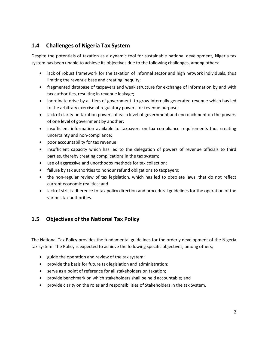# <span id="page-5-0"></span>**1.4 Challenges of Nigeria Tax System**

Despite the potentials of taxation as a dynamic tool for sustainable national development, Nigeria tax system has been unable to achieve its objectives due to the following challenges, among others:

- lack of robust framework for the taxation of informal sector and high network individuals, thus limiting the revenue base and creating inequity;
- fragmented database of taxpayers and weak structure for exchange of information by and with tax authorities, resulting in revenue leakage;
- inordinate drive by all tiers of government to grow internally generated revenue which has led to the arbitrary exercise of regulatory powers for revenue purpose;
- lack of clarity on taxation powers of each level of government and encroachment on the powers of one level of government by another;
- insufficient information available to taxpayers on tax compliance requirements thus creating uncertainty and non-compliance;
- poor accountability for tax revenue;
- insufficient capacity which has led to the delegation of powers of revenue officials to third parties, thereby creating complications in the tax system;
- use of aggressive and unorthodox methods for tax collection;
- failure by tax authorities to honour refund obligations to taxpayers;
- the non-regular review of tax legislation, which has led to obsolete laws, that do not reflect current economic realities; and
- lack of strict adherence to tax policy direction and procedural guidelines for the operation of the various tax authorities.

# <span id="page-5-1"></span>**1.5 Objectives of the National Tax Policy**

The National Tax Policy provides the fundamental guidelines for the orderly development of the Nigeria tax system. The Policy is expected to achieve the following specific objectives, among others;

- guide the operation and review of the tax system;
- provide the basis for future tax legislation and administration;
- serve as a point of reference for all stakeholders on taxation;
- provide benchmark on which stakeholders shall be held accountable; and
- provide clarity on the roles and responsibilities of Stakeholders in the tax System.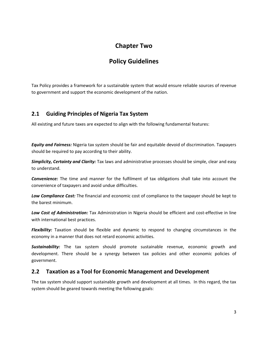# **Chapter Two**

# **Policy Guidelines**

<span id="page-6-1"></span><span id="page-6-0"></span>Tax Policy provides a framework for a sustainable system that would ensure reliable sources of revenue to government and support the economic development of the nation.

# <span id="page-6-2"></span>**2.1 Guiding Principles of Nigeria Tax System**

All existing and future taxes are expected to align with the following fundamental features:

*Equity and Fairness:* Nigeria tax system should be fair and equitable devoid of discrimination. Taxpayers should be required to pay according to their ability.

*Simplicity, Certainty and Clarity:* Tax laws and administrative processes should be simple, clear and easy to understand.

*Convenience:* The time and manner for the fulfilment of tax obligations shall take into account the convenience of taxpayers and avoid undue difficulties.

*Low Compliance Cost:* The financial and economic cost of compliance to the taxpayer should be kept to the barest minimum.

*Low Cost of Administration:* Tax Administration in Nigeria should be efficient and cost-effective in line with international best practices.

*Flexibility:* Taxation should be flexible and dynamic to respond to changing circumstances in the economy in a manner that does not retard economic activities.

*Sustainability:* The tax system should promote sustainable revenue, economic growth and development. There should be a synergy between tax policies and other economic policies of government.

# <span id="page-6-3"></span>**2.2 Taxation as a Tool for Economic Management and Development**

The tax system should support sustainable growth and development at all times. In this regard, the tax system should be geared towards meeting the following goals: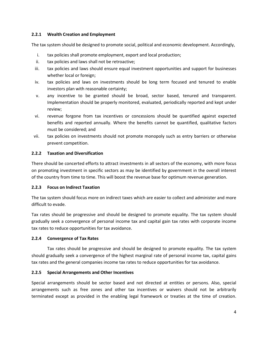#### <span id="page-7-0"></span>**2.2.1 Wealth Creation and Employment**

The tax system should be designed to promote social, political and economic development. Accordingly,

- i. tax policies shall promote employment, export and local production;
- ii. tax policies and laws shall not be retroactive;
- iii. tax policies and laws should ensure equal investment opportunities and support for businesses whether local or foreign;
- iv. tax policies and laws on investments should be long term focused and tenured to enable investors plan with reasonable certainty;
- v. any incentive to be granted should be broad, sector based, tenured and transparent. Implementation should be properly monitored, evaluated, periodically reported and kept under review;
- vi. revenue forgone from tax incentives or concessions should be quantified against expected benefits and reported annually. Where the benefits cannot be quantified, qualitative factors must be considered; and
- vii. tax policies on investments should not promote monopoly such as entry barriers or otherwise prevent competition.

#### <span id="page-7-1"></span>**2.2.2 Taxation and Diversification**

There should be concerted efforts to attract investments in all sectors of the economy, with more focus on promoting investment in specific sectors as may be identified by government in the overall interest of the country from time to time. This will boost the revenue base for optimum revenue generation.

## <span id="page-7-2"></span>**2.2.3 Focus on Indirect Taxation**

The tax system should focus more on indirect taxes which are easier to collect and administer and more difficult to evade.

Tax rates should be progressive and should be designed to promote equality. The tax system should gradually seek a convergence of personal income tax and capital gain tax rates with corporate income tax rates to reduce opportunities for tax avoidance.

## **2.2.4 Convergence of Tax Rates**

Tax rates should be progressive and should be designed to promote equality. The tax system should gradually seek a convergence of the highest marginal rate of personal income tax, capital gains tax rates and the general companies income tax rates to reduce opportunities for tax avoidance.

## <span id="page-7-3"></span>**2.2.5 Special Arrangements and Other Incentives**

Special arrangements should be sector based and not directed at entities or persons. Also, special arrangements such as free zones and other tax incentives or waivers should not be arbitrarily terminated except as provided in the enabling legal framework or treaties at the time of creation.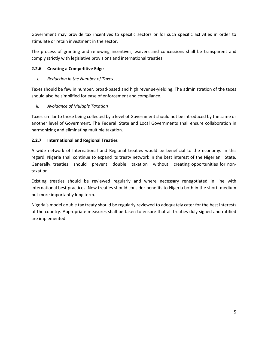Government may provide tax incentives to specific sectors or for such specific activities in order to stimulate or retain investment in the sector.

The process of granting and renewing incentives, waivers and concessions shall be transparent and comply strictly with legislative provisions and international treaties.

## <span id="page-8-0"></span>**2.2.6 Creating a Competitive Edge**

#### *i. Reduction in the Number of Taxes*

Taxes should be few in number, broad-based and high revenue-yielding. The administration of the taxes should also be simplified for ease of enforcement and compliance.

## *ii. Avoidance of Multiple Taxation*

Taxes similar to those being collected by a level of Government should not be introduced by the same or another level of Government. The Federal, State and Local Governments shall ensure collaboration in harmonizing and eliminating multiple taxation.

#### <span id="page-8-1"></span>**2.2.7 International and Regional Treaties**

A wide network of International and Regional treaties would be beneficial to the economy. In this regard, Nigeria shall continue to expand its treaty network in the best interest of the Nigerian State. Generally, treaties should prevent double taxation without creating opportunities for nontaxation.

Existing treaties should be reviewed regularly and where necessary renegotiated in line with international best practices. New treaties should consider benefits to Nigeria both in the short, medium but more importantly long term.

Nigeria's model double tax treaty should be regularly reviewed to adequately cater for the best interests of the country. Appropriate measures shall be taken to ensure that all treaties duly signed and ratified are implemented.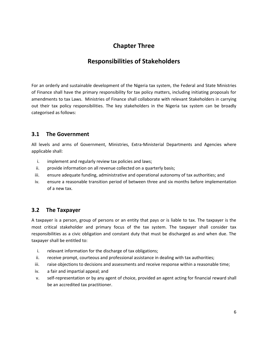# **Chapter Three**

# **Responsibilities of Stakeholders**

<span id="page-9-1"></span><span id="page-9-0"></span>For an orderly and sustainable development of the Nigeria tax system, the Federal and State Ministries of Finance shall have the primary responsibility for tax policy matters, including initiating proposals for amendments to tax Laws. Ministries of Finance shall collaborate with relevant Stakeholders in carrying out their tax policy responsibilities. The key stakeholders in the Nigeria tax system can be broadly categorised as follows:

## <span id="page-9-2"></span>**3.1 The Government**

All levels and arms of Government, Ministries, Extra-Ministerial Departments and Agencies where applicable shall:

- i. implement and regularly review tax policies and laws;
- ii. provide information on all revenue collected on a quarterly basis;
- iii. ensure adequate funding, administrative and operational autonomy of tax authorities; and
- iv. ensure a reasonable transition period of between three and six months before implementation of a new tax.

# <span id="page-9-3"></span>**3.2 The Taxpayer**

A taxpayer is a person, group of persons or an entity that pays or is liable to tax. The taxpayer is the most critical stakeholder and primary focus of the tax system. The taxpayer shall consider tax responsibilities as a civic obligation and constant duty that must be discharged as and when due. The taxpayer shall be entitled to:

- i. relevant information for the discharge of tax obligations;
- ii. receive prompt, courteous and professional assistance in dealing with tax authorities;
- iii. raise objections to decisions and assessments and receive response within a reasonable time;
- iv. a fair and impartial appeal; and
- v. self-representation or by any agent of choice, provided an agent acting for financial reward shall be an accredited tax practitioner.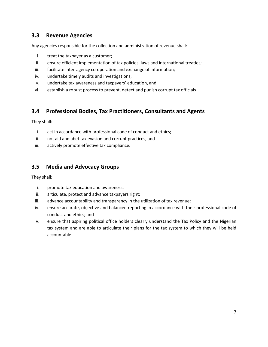# <span id="page-10-0"></span>**3.3 Revenue Agencies**

Any agencies responsible for the collection and administration of revenue shall:

- i. treat the taxpayer as a customer;
- ii. ensure efficient implementation of tax policies, laws and international treaties;
- iii. facilitate inter-agency co-operation and exchange of information;
- iv. undertake timely audits and investigations;
- v. undertake tax awareness and taxpayers' education, and
- vi. establish a robust process to prevent, detect and punish corrupt tax officials

# <span id="page-10-1"></span>**3.4 Professional Bodies, Tax Practitioners, Consultants and Agents**

They shall:

- i. act in accordance with professional code of conduct and ethics;
- ii. not aid and abet tax evasion and corrupt practices, and
- iii. actively promote effective tax compliance.

# <span id="page-10-2"></span>**3.5 Media and Advocacy Groups**

They shall:

- i. promote tax education and awareness;
- ii. articulate, protect and advance taxpayers right;
- iii. advance accountability and transparency in the utilization of tax revenue;
- iv. ensure accurate, objective and balanced reporting in accordance with their professional code of conduct and ethics; and
- v. ensure that aspiring political office holders clearly understand the Tax Policy and the Nigerian tax system and are able to articulate their plans for the tax system to which they will be held accountable.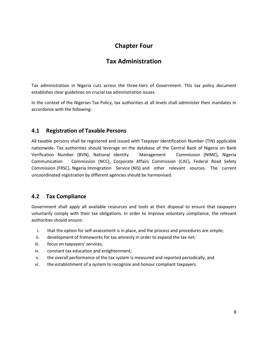# **Chapter Four**

# **Tax Administration**

<span id="page-11-1"></span><span id="page-11-0"></span>Tax administration in Nigeria cuts across the three-tiers of Government. This tax policy document establishes clear guidelines on crucial tax administration issues.

In the context of the Nigerian Tax Policy, tax authorities at all levels shall administer their mandates in accordance with the following:

# <span id="page-11-2"></span>**4.1 Registration of Taxable Persons**

All taxable persons shall be registered and issued with Taxpayer Identification Number (TIN) applicable nationwide. Tax authorities should leverage on the database of the Central Bank of Nigeria on Bank Verification Number (BVN), National Identity Management Commission (NIMC), Nigeria Communication Commission (NCC), Corporate Affairs Commission (CAC), Federal Road Safety Commission (FRSC), Nigeria Immigration Service (NIS) and other relevant sources. The current uncoordinated registration by different agencies should be harmonised.

## <span id="page-11-3"></span>**4.2 Tax Compliance**

Government shall apply all available resources and tools at their disposal to ensure that taxpayers voluntarily comply with their tax obligations. In order to improve voluntary compliance, the relevant authorities should ensure:

- i. that the option for self-assessment is in place, and the process and procedures are simple;
- ii. development of frameworks for tax amnesty in order to expand the tax net;
- iii. focus on taxpayers' services,
- iv. constant tax education and enlightenment;
- v. the overall performance of the tax system is measured and reported periodically, and
- vi. the establishment of a system to recognize and honour compliant taxpayers.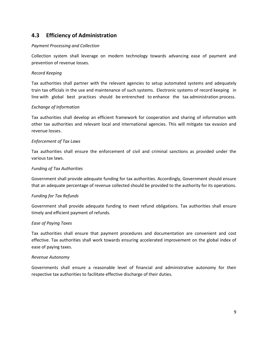# <span id="page-12-0"></span>**4.3 Efficiency of Administration**

#### *Payment Processing and Collection*

Collection system shall leverage on modern technology towards advancing ease of payment and prevention of revenue losses.

#### *Record Keeping*

Tax authorities shall partner with the relevant agencies to setup automated systems and adequately train tax officials in the use and maintenance of such systems. Electronic systems of record keeping in line with global best practices should be entrenched to enhance the tax administration process.

#### *Exchange of Information*

Tax authorities shall develop an efficient framework for cooperation and sharing of information with other tax authorities and relevant local and international agencies. This will mitigate tax evasion and revenue losses.

#### *Enforcement of Tax Laws*

Tax authorities shall ensure the enforcement of civil and criminal sanctions as provided under the various tax laws.

#### *Funding of Tax Authorities*

Government shall provide adequate funding for tax authorities. Accordingly, Government should ensure that an adequate percentage of revenue collected should be provided to the authority for its operations.

#### *Funding for Tax Refunds*

Government shall provide adequate funding to meet refund obligations. Tax authorities shall ensure timely and efficient payment of refunds.

#### *Ease of Paying Taxes*

Tax authorities shall ensure that payment procedures and documentation are convenient and cost effective. Tax authorities shall work towards ensuring accelerated improvement on the global index of ease of paying taxes.

#### *Revenue Autonomy*

Governments shall ensure a reasonable level of financial and administrative autonomy for their respective tax authorities to facilitate effective discharge of their duties.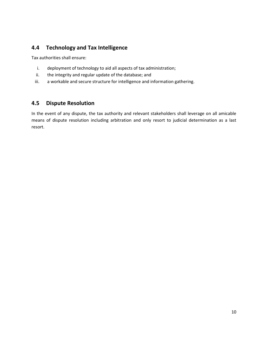# <span id="page-13-0"></span>**4.4 Technology and Tax Intelligence**

Tax authorities shall ensure:

- i. deployment of technology to aid all aspects of tax administration;
- ii. the integrity and regular update of the database; and
- iii. a workable and secure structure for intelligence and information gathering.

# <span id="page-13-1"></span>**4.5 Dispute Resolution**

In the event of any dispute, the tax authority and relevant stakeholders shall leverage on all amicable means of dispute resolution including arbitration and only resort to judicial determination as a last resort.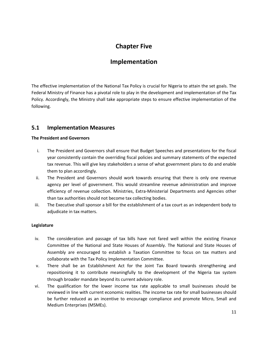# **Chapter Five**

# **Implementation**

<span id="page-14-1"></span><span id="page-14-0"></span>The effective implementation of the National Tax Policy is crucial for Nigeria to attain the set goals. The Federal Ministry of Finance has a pivotal role to play in the development and implementation of the Tax Policy. Accordingly, the Ministry shall take appropriate steps to ensure effective implementation of the following.

# <span id="page-14-2"></span>**5.1 Implementation Measures**

#### **The President and Governors**

- i. The President and Governors shall ensure that Budget Speeches and presentations for the fiscal year consistently contain the overriding fiscal policies and summary statements of the expected tax revenue. This will give key stakeholders a sense of what government plans to do and enable them to plan accordingly.
- ii. The President and Governors should work towards ensuring that there is only one revenue agency per level of government. This would streamline revenue administration and improve efficiency of revenue collection. Ministries, Extra-Ministerial Departments and Agencies other than tax authorities should not become tax collecting bodies.
- iii. The Executive shall sponsor a bill for the establishment of a tax court as an independent body to adjudicate in tax matters.

#### **Legislature**

- iv. The consideration and passage of tax bills have not fared well within the existing Finance Committee of the National and State Houses of Assembly. The National and State Houses of Assembly are encouraged to establish a Taxation Committee to focus on tax matters and collaborate with the Tax Policy Implementation Committee.
- v. There shall be an Establishment Act for the Joint Tax Board towards strengthening and repositioning it to contribute meaningfully to the development of the Nigeria tax system through broader mandate beyond its current advisory role.
- vi. The qualification for the lower income tax rate applicable to small businesses should be reviewed in line with current economic realities. The income tax rate for small businesses should be further reduced as an incentive to encourage compliance and promote Micro, Small and Medium Enterprises (MSMEs).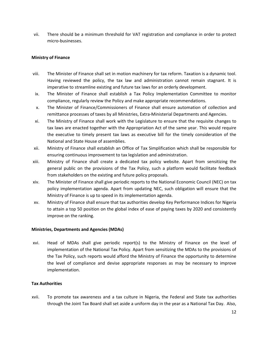vii. There should be a minimum threshold for VAT registration and compliance in order to protect micro-businesses.

#### **Ministry of Finance**

- viii. The Minister of Finance shall set in motion machinery for tax reform. Taxation is a dynamic tool. Having reviewed the policy, the tax law and administration cannot remain stagnant. It is imperative to streamline existing and future tax laws for an orderly development.
- ix. The Minister of Finance shall establish a Tax Policy Implementation Committee to monitor compliance, regularly review the Policy and make appropriate recommendations.
- x. The Minister of Finance/Commissioners of Finance shall ensure automation of collection and remittance processes of taxes by all Ministries, Extra-Ministerial Departments and Agencies.
- xi. The Ministry of Finance shall work with the Legislature to ensure that the requisite changes to tax laws are enacted together with the Appropriation Act of the same year. This would require the executive to timely present tax laws as executive bill for the timely consideration of the National and State House of assemblies.
- xii. Ministry of Finance shall establish an Office of Tax Simplification which shall be responsible for ensuring continuous improvement to tax legislation and administration.
- xiii. Ministry of Finance shall create a dedicated tax policy website. Apart from sensitizing the general public on the provisions of the Tax Policy, such a platform would facilitate feedback from stakeholders on the existing and future policy proposals.
- xiv. The Minister of Finance shall give periodic reports to the National Economic Council (NEC) on tax policy implementation agenda. Apart from updating NEC, such obligation will ensure that the Ministry of Finance is up to speed in its implementation agenda.
- xv. Ministry of Finance shall ensure that tax authorities develop Key Performance Indices for Nigeria to attain a top 50 position on the global index of ease of paying taxes by 2020 and consistently improve on the ranking.

#### **Ministries, Departments and Agencies (MDAs)**

xvi. Head of MDAs shall give periodic report(s) to the Ministry of Finance on the level of implementation of the National Tax Policy. Apart from sensitizing the MDAs to the provisions of the Tax Policy, such reports would afford the Ministry of Finance the opportunity to determine the level of compliance and devise appropriate responses as may be necessary to improve implementation.

#### **Tax Authorities**

xvii. To promote tax awareness and a tax culture in Nigeria, the Federal and State tax authorities through the Joint Tax Board shall set aside a uniform day in the year as a National Tax Day. Also,